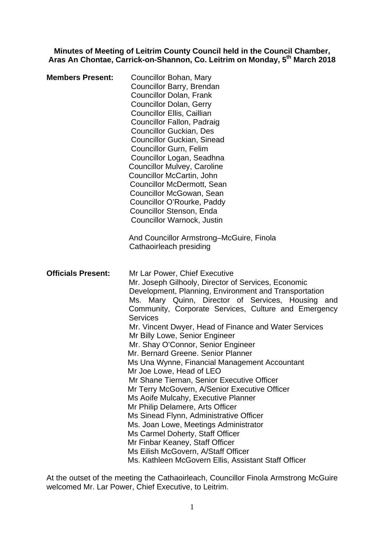**Minutes of Meeting of Leitrim County Council held in the Council Chamber, Aras An Chontae, Carrick-on-Shannon, Co. Leitrim on Monday, 5th March 2018** 

| <b>Members Present:</b>   | Councillor Bohan, Mary<br>Councillor Barry, Brendan<br><b>Councillor Dolan, Frank</b><br><b>Councillor Dolan, Gerry</b><br>Councillor Ellis, Caillian<br>Councillor Fallon, Padraig<br><b>Councillor Guckian, Des</b><br><b>Councillor Guckian, Sinead</b><br><b>Councillor Gurn, Felim</b><br>Councillor Logan, Seadhna<br><b>Councillor Mulvey, Caroline</b><br>Councillor McCartin, John<br><b>Councillor McDermott, Sean</b><br>Councillor McGowan, Sean<br>Councillor O'Rourke, Paddy<br>Councillor Stenson, Enda<br>Councillor Warnock, Justin<br>And Councillor Armstrong–McGuire, Finola<br>Cathaoirleach presiding                                                                                                                                                                                                                                                                                                                                           |
|---------------------------|-----------------------------------------------------------------------------------------------------------------------------------------------------------------------------------------------------------------------------------------------------------------------------------------------------------------------------------------------------------------------------------------------------------------------------------------------------------------------------------------------------------------------------------------------------------------------------------------------------------------------------------------------------------------------------------------------------------------------------------------------------------------------------------------------------------------------------------------------------------------------------------------------------------------------------------------------------------------------|
| <b>Officials Present:</b> | Mr Lar Power, Chief Executive<br>Mr. Joseph Gilhooly, Director of Services, Economic<br>Development, Planning, Environment and Transportation<br>Ms. Mary Quinn, Director of Services, Housing and<br>Community, Corporate Services, Culture and Emergency<br><b>Services</b><br>Mr. Vincent Dwyer, Head of Finance and Water Services<br>Mr Billy Lowe, Senior Engineer<br>Mr. Shay O'Connor, Senior Engineer<br>Mr. Bernard Greene. Senior Planner<br>Ms Una Wynne, Financial Management Accountant<br>Mr Joe Lowe, Head of LEO<br>Mr Shane Tiernan, Senior Executive Officer<br>Mr Terry McGovern, A/Senior Executive Officer<br>Ms Aoife Mulcahy, Executive Planner<br>Mr Philip Delamere, Arts Officer<br>Ms Sinead Flynn, Administrative Officer<br>Ms. Joan Lowe, Meetings Administrator<br>Ms Carmel Doherty, Staff Officer<br>Mr Finbar Keaney, Staff Officer<br>Ms Eilish McGovern, A/Staff Officer<br>Ms. Kathleen McGovern Ellis, Assistant Staff Officer |

At the outset of the meeting the Cathaoirleach, Councillor Finola Armstrong McGuire welcomed Mr. Lar Power, Chief Executive, to Leitrim.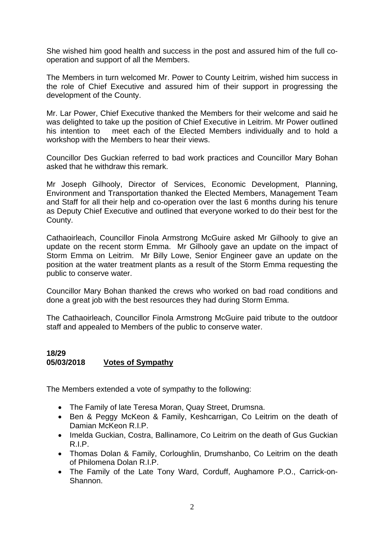She wished him good health and success in the post and assured him of the full cooperation and support of all the Members.

The Members in turn welcomed Mr. Power to County Leitrim, wished him success in the role of Chief Executive and assured him of their support in progressing the development of the County.

Mr. Lar Power, Chief Executive thanked the Members for their welcome and said he was delighted to take up the position of Chief Executive in Leitrim. Mr Power outlined his intention to meet each of the Elected Members individually and to hold a workshop with the Members to hear their views.

Councillor Des Guckian referred to bad work practices and Councillor Mary Bohan asked that he withdraw this remark.

Mr Joseph Gilhooly, Director of Services, Economic Development, Planning, Environment and Transportation thanked the Elected Members, Management Team and Staff for all their help and co-operation over the last 6 months during his tenure as Deputy Chief Executive and outlined that everyone worked to do their best for the County.

Cathaoirleach, Councillor Finola Armstrong McGuire asked Mr Gilhooly to give an update on the recent storm Emma. Mr Gilhooly gave an update on the impact of Storm Emma on Leitrim. Mr Billy Lowe, Senior Engineer gave an update on the position at the water treatment plants as a result of the Storm Emma requesting the public to conserve water.

Councillor Mary Bohan thanked the crews who worked on bad road conditions and done a great job with the best resources they had during Storm Emma.

The Cathaoirleach, Councillor Finola Armstrong McGuire paid tribute to the outdoor staff and appealed to Members of the public to conserve water.

# **18/29 05/03/2018 Votes of Sympathy**

The Members extended a vote of sympathy to the following:

- The Family of late Teresa Moran, Quay Street, Drumsna.
- Ben & Peggy McKeon & Family, Keshcarrigan, Co Leitrim on the death of Damian McKeon R.I.P.
- Imelda Guckian, Costra, Ballinamore, Co Leitrim on the death of Gus Guckian R.I.P.
- Thomas Dolan & Family, Corloughlin, Drumshanbo, Co Leitrim on the death of Philomena Dolan R.I.P.
- The Family of the Late Tony Ward, Corduff, Aughamore P.O., Carrick-on-Shannon.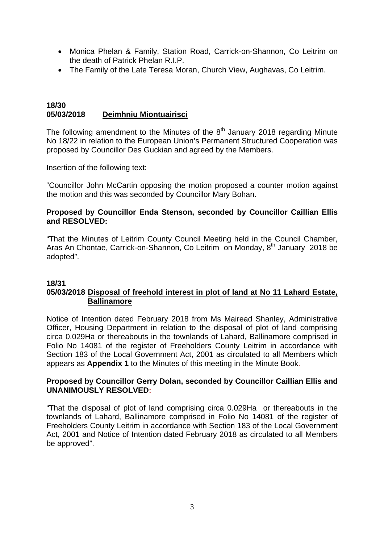- Monica Phelan & Family, Station Road, Carrick-on-Shannon, Co Leitrim on the death of Patrick Phelan R.I.P.
- The Family of the Late Teresa Moran, Church View, Aughavas, Co Leitrim.

#### **18/30 05/03/2018 Deimhniu Miontuairisci**

The following amendment to the Minutes of the  $8<sup>th</sup>$  January 2018 regarding Minute No 18/22 in relation to the European Union's Permanent Structured Cooperation was proposed by Councillor Des Guckian and agreed by the Members.

Insertion of the following text:

"Councillor John McCartin opposing the motion proposed a counter motion against the motion and this was seconded by Councillor Mary Bohan.

# **Proposed by Councillor Enda Stenson, seconded by Councillor Caillian Ellis and RESOLVED:**

"That the Minutes of Leitrim County Council Meeting held in the Council Chamber, Aras An Chontae, Carrick-on-Shannon, Co Leitrim on Monday, 8<sup>th</sup> January 2018 be adopted".

# **18/31**

# **05/03/2018 Disposal of freehold interest in plot of land at No 11 Lahard Estate, Ballinamore**

Notice of Intention dated February 2018 from Ms Mairead Shanley, Administrative Officer, Housing Department in relation to the disposal of plot of land comprising circa 0.029Ha or thereabouts in the townlands of Lahard, Ballinamore comprised in Folio No 14081 of the register of Freeholders County Leitrim in accordance with Section 183 of the Local Government Act, 2001 as circulated to all Members which appears as **Appendix 1** to the Minutes of this meeting in the Minute Book.

# **Proposed by Councillor Gerry Dolan, seconded by Councillor Caillian Ellis and UNANIMOUSLY RESOLVED:**

"That the disposal of plot of land comprising circa 0.029Ha or thereabouts in the townlands of Lahard, Ballinamore comprised in Folio No 14081 of the register of Freeholders County Leitrim in accordance with Section 183 of the Local Government Act, 2001 and Notice of Intention dated February 2018 as circulated to all Members be approved".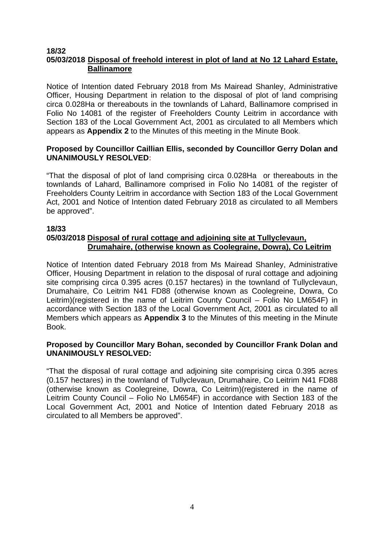#### **18/32 05/03/2018 Disposal of freehold interest in plot of land at No 12 Lahard Estate, Ballinamore**

Notice of Intention dated February 2018 from Ms Mairead Shanley, Administrative Officer, Housing Department in relation to the disposal of plot of land comprising circa 0.028Ha or thereabouts in the townlands of Lahard, Ballinamore comprised in Folio No 14081 of the register of Freeholders County Leitrim in accordance with Section 183 of the Local Government Act, 2001 as circulated to all Members which appears as **Appendix 2** to the Minutes of this meeting in the Minute Book.

# **Proposed by Councillor Caillian Ellis, seconded by Councillor Gerry Dolan and UNANIMOUSLY RESOLVED:**

"That the disposal of plot of land comprising circa 0.028Ha or thereabouts in the townlands of Lahard, Ballinamore comprised in Folio No 14081 of the register of Freeholders County Leitrim in accordance with Section 183 of the Local Government Act, 2001 and Notice of Intention dated February 2018 as circulated to all Members be approved".

# **18/33**

# **05/03/2018 Disposal of rural cottage and adjoining site at Tullyclevaun, Drumahaire, (otherwise known as Coolegraine, Dowra), Co Leitrim**

Notice of Intention dated February 2018 from Ms Mairead Shanley, Administrative Officer, Housing Department in relation to the disposal of rural cottage and adjoining site comprising circa 0.395 acres (0.157 hectares) in the townland of Tullyclevaun, Drumahaire, Co Leitrim N41 FD88 (otherwise known as Coolegreine, Dowra, Co Leitrim)(registered in the name of Leitrim County Council – Folio No LM654F) in accordance with Section 183 of the Local Government Act, 2001 as circulated to all Members which appears as **Appendix 3** to the Minutes of this meeting in the Minute Book.

# **Proposed by Councillor Mary Bohan, seconded by Councillor Frank Dolan and UNANIMOUSLY RESOLVED:**

"That the disposal of rural cottage and adjoining site comprising circa 0.395 acres (0.157 hectares) in the townland of Tullyclevaun, Drumahaire, Co Leitrim N41 FD88 (otherwise known as Coolegreine, Dowra, Co Leitrim)(registered in the name of Leitrim County Council – Folio No LM654F) in accordance with Section 183 of the Local Government Act, 2001 and Notice of Intention dated February 2018 as circulated to all Members be approved".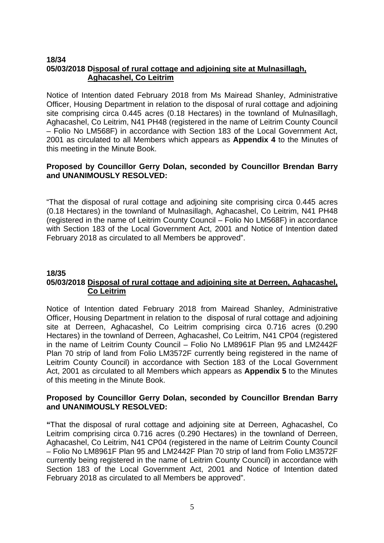#### **18/34 05/03/2018 Disposal of rural cottage and adjoining site at Mulnasillagh, Aghacashel, Co Leitrim**

Notice of Intention dated February 2018 from Ms Mairead Shanley, Administrative Officer, Housing Department in relation to the disposal of rural cottage and adjoining site comprising circa 0.445 acres (0.18 Hectares) in the townland of Mulnasillagh, Aghacashel, Co Leitrim, N41 PH48 (registered in the name of Leitrim County Council – Folio No LM568F) in accordance with Section 183 of the Local Government Act, 2001 as circulated to all Members which appears as **Appendix 4** to the Minutes of this meeting in the Minute Book.

# **Proposed by Councillor Gerry Dolan, seconded by Councillor Brendan Barry and UNANIMOUSLY RESOLVED:**

"That the disposal of rural cottage and adjoining site comprising circa 0.445 acres (0.18 Hectares) in the townland of Mulnasillagh, Aghacashel, Co Leitrim, N41 PH48 (registered in the name of Leitrim County Council – Folio No LM568F) in accordance with Section 183 of the Local Government Act, 2001 and Notice of Intention dated February 2018 as circulated to all Members be approved".

#### **18/35 05/03/2018 Disposal of rural cottage and adjoining site at Derreen, Aghacashel, Co Leitrim**

Notice of Intention dated February 2018 from Mairead Shanley, Administrative Officer, Housing Department in relation to the disposal of rural cottage and adjoining site at Derreen, Aghacashel, Co Leitrim comprising circa 0.716 acres (0.290 Hectares) in the townland of Derreen, Aghacashel, Co Leitrim, N41 CP04 (registered in the name of Leitrim County Council – Folio No LM8961F Plan 95 and LM2442F Plan 70 strip of land from Folio LM3572F currently being registered in the name of Leitrim County Council) in accordance with Section 183 of the Local Government Act, 2001 as circulated to all Members which appears as **Appendix 5** to the Minutes of this meeting in the Minute Book.

# **Proposed by Councillor Gerry Dolan, seconded by Councillor Brendan Barry and UNANIMOUSLY RESOLVED:**

**"**That the disposal of rural cottage and adjoining site at Derreen, Aghacashel, Co Leitrim comprising circa 0.716 acres (0.290 Hectares) in the townland of Derreen, Aghacashel, Co Leitrim, N41 CP04 (registered in the name of Leitrim County Council – Folio No LM8961F Plan 95 and LM2442F Plan 70 strip of land from Folio LM3572F currently being registered in the name of Leitrim County Council) in accordance with Section 183 of the Local Government Act, 2001 and Notice of Intention dated February 2018 as circulated to all Members be approved".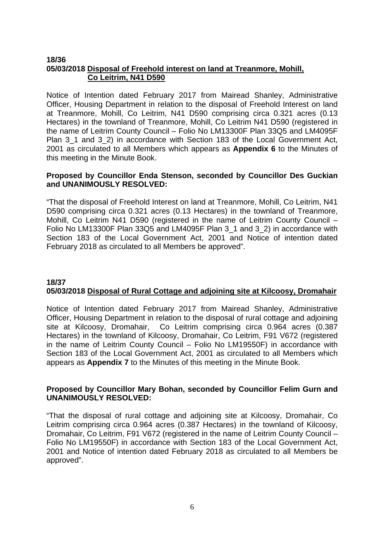#### **18/36 05/03/2018 Disposal of Freehold interest on land at Treanmore, Mohill, Co Leitrim, N41 D590**

Notice of Intention dated February 2017 from Mairead Shanley, Administrative Officer, Housing Department in relation to the disposal of Freehold Interest on land at Treanmore, Mohill, Co Leitrim, N41 D590 comprising circa 0.321 acres (0.13 Hectares) in the townland of Treanmore, Mohill, Co Leitrim N41 D590 (registered in the name of Leitrim County Council – Folio No LM13300F Plan 33Q5 and LM4095F Plan 3\_1 and 3\_2) in accordance with Section 183 of the Local Government Act, 2001 as circulated to all Members which appears as **Appendix 6** to the Minutes of this meeting in the Minute Book.

## **Proposed by Councillor Enda Stenson, seconded by Councillor Des Guckian and UNANIMOUSLY RESOLVED:**

"That the disposal of Freehold Interest on land at Treanmore, Mohill, Co Leitrim, N41 D590 comprising circa 0.321 acres (0.13 Hectares) in the townland of Treanmore, Mohill, Co Leitrim N41 D590 (registered in the name of Leitrim County Council – Folio No LM13300F Plan 33Q5 and LM4095F Plan 3\_1 and 3\_2) in accordance with Section 183 of the Local Government Act, 2001 and Notice of intention dated February 2018 as circulated to all Members be approved".

# **18/37 05/03/2018 Disposal of Rural Cottage and adjoining site at Kilcoosy, Dromahair**

Notice of Intention dated February 2017 from Mairead Shanley, Administrative Officer, Housing Department in relation to the disposal of rural cottage and adjoining site at Kilcoosy, Dromahair, Co Leitrim comprising circa 0.964 acres (0.387 Hectares) in the townland of Kilcoosy, Dromahair, Co Leitrim, F91 V672 (registered in the name of Leitrim County Council – Folio No LM19550F) in accordance with Section 183 of the Local Government Act, 2001 as circulated to all Members which appears as **Appendix 7** to the Minutes of this meeting in the Minute Book.

# **Proposed by Councillor Mary Bohan, seconded by Councillor Felim Gurn and UNANIMOUSLY RESOLVED:**

"That the disposal of rural cottage and adjoining site at Kilcoosy, Dromahair, Co Leitrim comprising circa 0.964 acres (0.387 Hectares) in the townland of Kilcoosy, Dromahair, Co Leitrim, F91 V672 (registered in the name of Leitrim County Council – Folio No LM19550F) in accordance with Section 183 of the Local Government Act, 2001 and Notice of intention dated February 2018 as circulated to all Members be approved".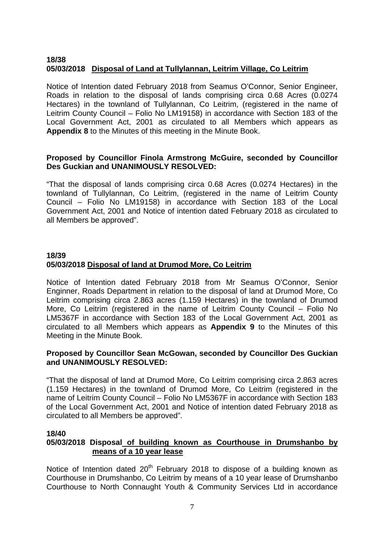# **18/38 05/03/2018 Disposal of Land at Tullylannan, Leitrim Village, Co Leitrim**

Notice of Intention dated February 2018 from Seamus O'Connor, Senior Engineer, Roads in relation to the disposal of lands comprising circa 0.68 Acres (0.0274 Hectares) in the townland of Tullylannan, Co Leitrim, (registered in the name of Leitrim County Council – Folio No LM19158) in accordance with Section 183 of the Local Government Act, 2001 as circulated to all Members which appears as **Appendix 8** to the Minutes of this meeting in the Minute Book.

# **Proposed by Councillor Finola Armstrong McGuire, seconded by Councillor Des Guckian and UNANIMOUSLY RESOLVED:**

"That the disposal of lands comprising circa 0.68 Acres (0.0274 Hectares) in the townland of Tullylannan, Co Leitrim, (registered in the name of Leitrim County Council – Folio No LM19158) in accordance with Section 183 of the Local Government Act, 2001 and Notice of intention dated February 2018 as circulated to all Members be approved".

# **18/39 05/03/2018 Disposal of land at Drumod More, Co Leitrim**

Notice of Intention dated February 2018 from Mr Seamus O'Connor, Senior Enginner, Roads Department in relation to the disposal of land at Drumod More, Co Leitrim comprising circa 2.863 acres (1.159 Hectares) in the townland of Drumod More, Co Leitrim (registered in the name of Leitrim County Council – Folio No LM5367F in accordance with Section 183 of the Local Government Act, 2001 as circulated to all Members which appears as **Appendix 9** to the Minutes of this Meeting in the Minute Book.

# **Proposed by Councillor Sean McGowan, seconded by Councillor Des Guckian and UNANIMOUSLY RESOLVED:**

"That the disposal of land at Drumod More, Co Leitrim comprising circa 2.863 acres (1.159 Hectares) in the townland of Drumod More, Co Leitrim (registered in the name of Leitrim County Council – Folio No LM5367F in accordance with Section 183 of the Local Government Act, 2001 and Notice of intention dated February 2018 as circulated to all Members be approved".

# **18/40**

# **05/03/2018 Disposal of building known as Courthouse in Drumshanbo by means of a 10 year lease**

Notice of Intention dated 20<sup>th</sup> February 2018 to dispose of a building known as Courthouse in Drumshanbo, Co Leitrim by means of a 10 year lease of Drumshanbo Courthouse to North Connaught Youth & Community Services Ltd in accordance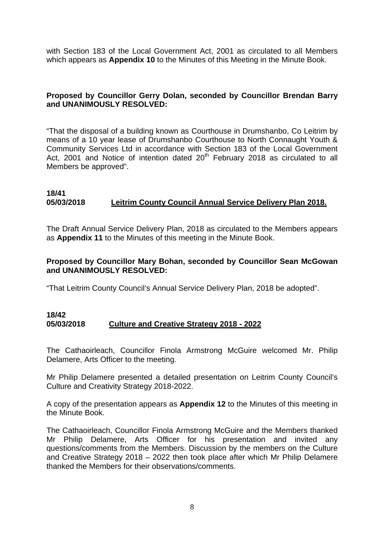with Section 183 of the Local Government Act, 2001 as circulated to all Members which appears as **Appendix 10** to the Minutes of this Meeting in the Minute Book.

# **Proposed by Councillor Gerry Dolan, seconded by Councillor Brendan Barry and UNANIMOUSLY RESOLVED:**

"That the disposal of a building known as Courthouse in Drumshanbo, Co Leitrim by means of a 10 year lease of Drumshanbo Courthouse to North Connaught Youth & Community Services Ltd in accordance with Section 183 of the Local Government Act, 2001 and Notice of intention dated  $20<sup>th</sup>$  February 2018 as circulated to all Members be approved".

# **18/41 05/03/2018 Leitrim County Council Annual Service Delivery Plan 2018.**

The Draft Annual Service Delivery Plan, 2018 as circulated to the Members appears as **Appendix 11** to the Minutes of this meeting in the Minute Book.

# **Proposed by Councillor Mary Bohan, seconded by Councillor Sean McGowan and UNANIMOUSLY RESOLVED:**

"That Leitrim County Council's Annual Service Delivery Plan, 2018 be adopted".

#### **18/42 05/03/2018 Culture and Creative Strategy 2018 - 2022**

The Cathaoirleach, Councillor Finola Armstrong McGuire welcomed Mr. Philip Delamere, Arts Officer to the meeting.

Mr Philip Delamere presented a detailed presentation on Leitrim County Council's Culture and Creativity Strategy 2018-2022.

A copy of the presentation appears as **Appendix 12** to the Minutes of this meeting in the Minute Book.

The Cathaoirleach, Councillor Finola Armstrong McGuire and the Members thanked Mr Philip Delamere, Arts Officer for his presentation and invited any questions/comments from the Members. Discussion by the members on the Culture and Creative Strategy 2018 – 2022 then took place after which Mr Philip Delamere thanked the Members for their observations/comments.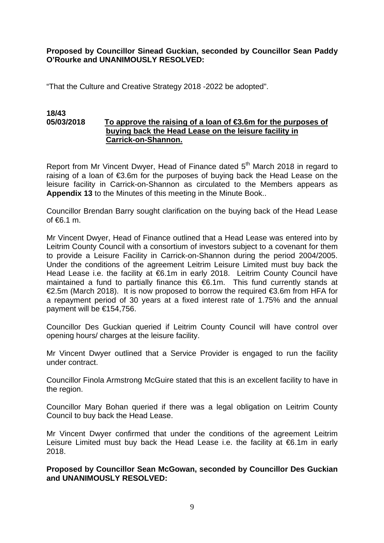**Proposed by Councillor Sinead Guckian, seconded by Councillor Sean Paddy O'Rourke and UNANIMOUSLY RESOLVED:** 

"That the Culture and Creative Strategy 2018 -2022 be adopted".

#### **18/43 05/03/2018** To approve the raising of a loan of **€3.6m** for the purposes of  **buying back the Head Lease on the leisure facility in Carrick-on-Shannon.**

Report from Mr Vincent Dwyer, Head of Finance dated 5<sup>th</sup> March 2018 in regard to raising of a loan of €3.6m for the purposes of buying back the Head Lease on the leisure facility in Carrick-on-Shannon as circulated to the Members appears as **Appendix 13** to the Minutes of this meeting in the Minute Book..

Councillor Brendan Barry sought clarification on the buying back of the Head Lease of €6.1 m.

Mr Vincent Dwyer, Head of Finance outlined that a Head Lease was entered into by Leitrim County Council with a consortium of investors subject to a covenant for them to provide a Leisure Facility in Carrick-on-Shannon during the period 2004/2005. Under the conditions of the agreement Leitrim Leisure Limited must buy back the Head Lease i.e. the facility at €6.1m in early 2018. Leitrim County Council have maintained a fund to partially finance this €6.1m. This fund currently stands at €2.5m (March 2018). It is now proposed to borrow the required €3.6m from HFA for a repayment period of 30 years at a fixed interest rate of 1.75% and the annual payment will be €154,756.

Councillor Des Guckian queried if Leitrim County Council will have control over opening hours/ charges at the leisure facility.

Mr Vincent Dwyer outlined that a Service Provider is engaged to run the facility under contract.

Councillor Finola Armstrong McGuire stated that this is an excellent facility to have in the region.

Councillor Mary Bohan queried if there was a legal obligation on Leitrim County Council to buy back the Head Lease.

Mr Vincent Dwyer confirmed that under the conditions of the agreement Leitrim Leisure Limited must buy back the Head Lease i.e. the facility at €6.1m in early 2018.

**Proposed by Councillor Sean McGowan, seconded by Councillor Des Guckian and UNANIMOUSLY RESOLVED:**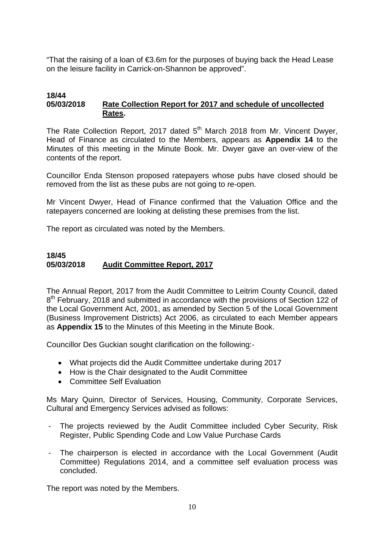"That the raising of a loan of €3.6m for the purposes of buying back the Head Lease on the leisure facility in Carrick-on-Shannon be approved".

#### **18/44 05/03/2018 Rate Collection Report for 2017 and schedule of uncollected Rates.**

The Rate Collection Report, 2017 dated  $5<sup>th</sup>$  March 2018 from Mr. Vincent Dwyer, Head of Finance as circulated to the Members, appears as **Appendix 14** to the Minutes of this meeting in the Minute Book. Mr. Dwyer gave an over-view of the contents of the report.

Councillor Enda Stenson proposed ratepayers whose pubs have closed should be removed from the list as these pubs are not going to re-open.

Mr Vincent Dwyer, Head of Finance confirmed that the Valuation Office and the ratepayers concerned are looking at delisting these premises from the list.

The report as circulated was noted by the Members.

# **18/45 05/03/2018 Audit Committee Report, 2017**

The Annual Report, 2017 from the Audit Committee to Leitrim County Council, dated 8<sup>th</sup> February, 2018 and submitted in accordance with the provisions of Section 122 of the Local Government Act, 2001, as amended by Section 5 of the Local Government (Business Improvement Districts) Act 2006, as circulated to each Member appears as **Appendix 15** to the Minutes of this Meeting in the Minute Book.

Councillor Des Guckian sought clarification on the following:-

- What projects did the Audit Committee undertake during 2017
- How is the Chair designated to the Audit Committee
- Committee Self Evaluation

Ms Mary Quinn, Director of Services, Housing, Community, Corporate Services, Cultural and Emergency Services advised as follows:

- The projects reviewed by the Audit Committee included Cyber Security, Risk Register, Public Spending Code and Low Value Purchase Cards
- The chairperson is elected in accordance with the Local Government (Audit Committee) Regulations 2014, and a committee self evaluation process was concluded.

The report was noted by the Members.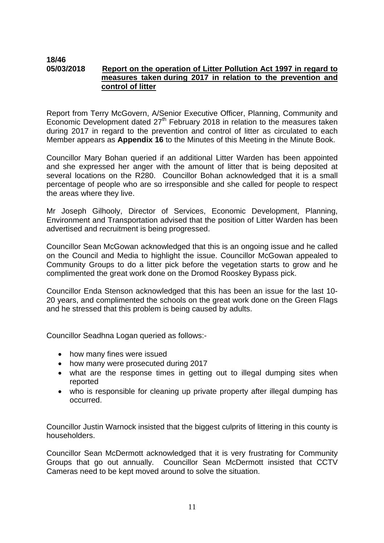#### **18/46 05/03/2018 Report on the operation of Litter Pollution Act 1997 in regard to measures taken during 2017 in relation to the prevention and control of litter**

Report from Terry McGovern, A/Senior Executive Officer, Planning, Community and Economic Development dated  $27<sup>th</sup>$  February 2018 in relation to the measures taken during 2017 in regard to the prevention and control of litter as circulated to each Member appears as **Appendix 16** to the Minutes of this Meeting in the Minute Book.

Councillor Mary Bohan queried if an additional Litter Warden has been appointed and she expressed her anger with the amount of litter that is being deposited at several locations on the R280. Councillor Bohan acknowledged that it is a small percentage of people who are so irresponsible and she called for people to respect the areas where they live.

Mr Joseph Gilhooly, Director of Services, Economic Development, Planning, Environment and Transportation advised that the position of Litter Warden has been advertised and recruitment is being progressed.

Councillor Sean McGowan acknowledged that this is an ongoing issue and he called on the Council and Media to highlight the issue. Councillor McGowan appealed to Community Groups to do a litter pick before the vegetation starts to grow and he complimented the great work done on the Dromod Rooskey Bypass pick.

Councillor Enda Stenson acknowledged that this has been an issue for the last 10- 20 years, and complimented the schools on the great work done on the Green Flags and he stressed that this problem is being caused by adults.

Councillor Seadhna Logan queried as follows:-

- how many fines were issued
- how many were prosecuted during 2017
- what are the response times in getting out to illegal dumping sites when reported
- who is responsible for cleaning up private property after illegal dumping has occurred.

Councillor Justin Warnock insisted that the biggest culprits of littering in this county is householders.

Councillor Sean McDermott acknowledged that it is very frustrating for Community Groups that go out annually. Councillor Sean McDermott insisted that CCTV Cameras need to be kept moved around to solve the situation.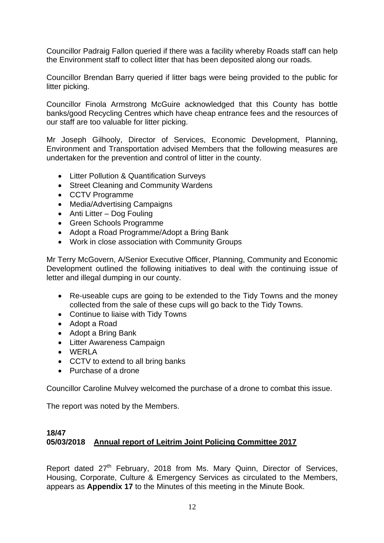Councillor Padraig Fallon queried if there was a facility whereby Roads staff can help the Environment staff to collect litter that has been deposited along our roads.

Councillor Brendan Barry queried if litter bags were being provided to the public for litter picking.

Councillor Finola Armstrong McGuire acknowledged that this County has bottle banks/good Recycling Centres which have cheap entrance fees and the resources of our staff are too valuable for litter picking.

Mr Joseph Gilhooly, Director of Services, Economic Development, Planning, Environment and Transportation advised Members that the following measures are undertaken for the prevention and control of litter in the county.

- Litter Pollution & Quantification Surveys
- Street Cleaning and Community Wardens
- CCTV Programme
- Media/Advertising Campaigns
- Anti Litter Dog Fouling
- Green Schools Programme
- Adopt a Road Programme/Adopt a Bring Bank
- Work in close association with Community Groups

Mr Terry McGovern, A/Senior Executive Officer, Planning, Community and Economic Development outlined the following initiatives to deal with the continuing issue of letter and illegal dumping in our county.

- Re-useable cups are going to be extended to the Tidy Towns and the money collected from the sale of these cups will go back to the Tidy Towns.
- Continue to liaise with Tidy Towns
- Adopt a Road
- Adopt a Bring Bank
- Litter Awareness Campaign
- WERLA
- CCTV to extend to all bring banks
- Purchase of a drone

Councillor Caroline Mulvey welcomed the purchase of a drone to combat this issue.

The report was noted by the Members.

# **18/47 05/03/2018 Annual report of Leitrim Joint Policing Committee 2017**

Report dated 27<sup>th</sup> February, 2018 from Ms. Mary Quinn, Director of Services, Housing, Corporate, Culture & Emergency Services as circulated to the Members, appears as **Appendix 17** to the Minutes of this meeting in the Minute Book.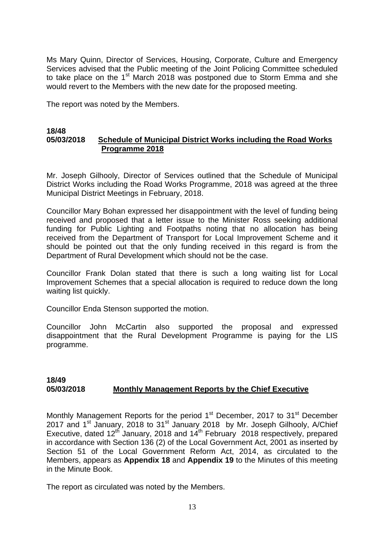Ms Mary Quinn, Director of Services, Housing, Corporate, Culture and Emergency Services advised that the Public meeting of the Joint Policing Committee scheduled to take place on the 1<sup>st</sup> March 2018 was postponed due to Storm Emma and she would revert to the Members with the new date for the proposed meeting.

The report was noted by the Members.

#### **18/48 05/03/2018 Schedule of Municipal District Works including the Road Works Programme 2018**

Mr. Joseph Gilhooly, Director of Services outlined that the Schedule of Municipal District Works including the Road Works Programme, 2018 was agreed at the three Municipal District Meetings in February, 2018.

Councillor Mary Bohan expressed her disappointment with the level of funding being received and proposed that a letter issue to the Minister Ross seeking additional funding for Public Lighting and Footpaths noting that no allocation has being received from the Department of Transport for Local Improvement Scheme and it should be pointed out that the only funding received in this regard is from the Department of Rural Development which should not be the case.

Councillor Frank Dolan stated that there is such a long waiting list for Local Improvement Schemes that a special allocation is required to reduce down the long waiting list quickly.

Councillor Enda Stenson supported the motion.

Councillor John McCartin also supported the proposal and expressed disappointment that the Rural Development Programme is paying for the LIS programme.

## **18/49 05/03/2018 Monthly Management Reports by the Chief Executive**

Monthly Management Reports for the period 1<sup>st</sup> December, 2017 to 31<sup>st</sup> December 2017 and 1<sup>st</sup> January, 2018 to 31<sup>st</sup> January 2018 by Mr. Joseph Gilhooly, A/Chief Executive, dated  $12^{th}$  January, 2018 and  $14^{th}$  February 2018 respectively, prepared in accordance with Section 136 (2) of the Local Government Act, 2001 as inserted by Section 51 of the Local Government Reform Act, 2014, as circulated to the Members, appears as **Appendix 18** and **Appendix 19** to the Minutes of this meeting in the Minute Book.

The report as circulated was noted by the Members.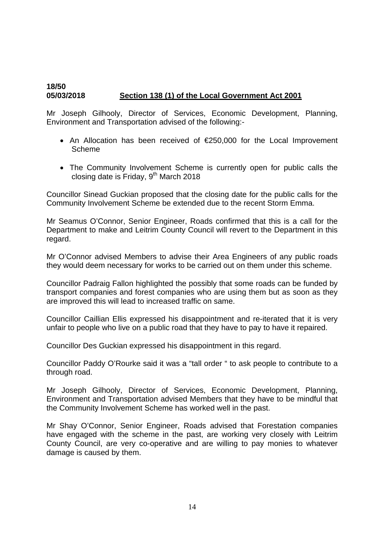# **18/50 05/03/2018 Section 138 (1) of the Local Government Act 2001**

Mr Joseph Gilhooly, Director of Services, Economic Development, Planning, Environment and Transportation advised of the following:-

- An Allocation has been received of €250,000 for the Local Improvement Scheme
- The Community Involvement Scheme is currently open for public calls the closing date is Friday,  $9<sup>th</sup>$  March 2018

Councillor Sinead Guckian proposed that the closing date for the public calls for the Community Involvement Scheme be extended due to the recent Storm Emma.

Mr Seamus O'Connor, Senior Engineer, Roads confirmed that this is a call for the Department to make and Leitrim County Council will revert to the Department in this regard.

Mr O'Connor advised Members to advise their Area Engineers of any public roads they would deem necessary for works to be carried out on them under this scheme.

Councillor Padraig Fallon highlighted the possibly that some roads can be funded by transport companies and forest companies who are using them but as soon as they are improved this will lead to increased traffic on same.

Councillor Caillian Ellis expressed his disappointment and re-iterated that it is very unfair to people who live on a public road that they have to pay to have it repaired.

Councillor Des Guckian expressed his disappointment in this regard.

Councillor Paddy O'Rourke said it was a "tall order " to ask people to contribute to a through road.

Mr Joseph Gilhooly, Director of Services, Economic Development, Planning, Environment and Transportation advised Members that they have to be mindful that the Community Involvement Scheme has worked well in the past.

Mr Shay O'Connor, Senior Engineer, Roads advised that Forestation companies have engaged with the scheme in the past, are working very closely with Leitrim County Council, are very co-operative and are willing to pay monies to whatever damage is caused by them.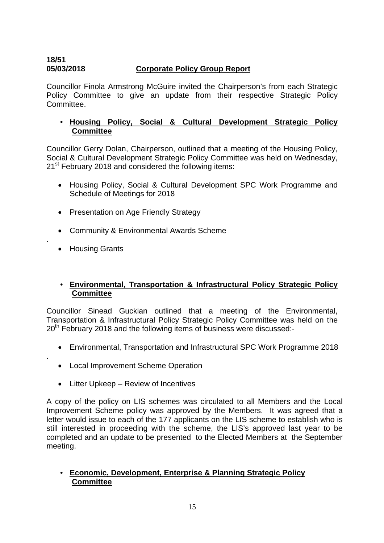# **18/51 05/03/2018 Corporate Policy Group Report**

Councillor Finola Armstrong McGuire invited the Chairperson's from each Strategic Policy Committee to give an update from their respective Strategic Policy Committee.

# • **Housing Policy, Social & Cultural Development Strategic Policy Committee**

Councillor Gerry Dolan, Chairperson, outlined that a meeting of the Housing Policy, Social & Cultural Development Strategic Policy Committee was held on Wednesday, 21<sup>st</sup> February 2018 and considered the following items:

- Housing Policy, Social & Cultural Development SPC Work Programme and Schedule of Meetings for 2018
- Presentation on Age Friendly Strategy
- Community & Environmental Awards Scheme
- Housing Grants

.

.

# • **Environmental, Transportation & Infrastructural Policy Strategic Policy Committee**

Councillor Sinead Guckian outlined that a meeting of the Environmental, Transportation & Infrastructural Policy Strategic Policy Committee was held on the 20<sup>th</sup> February 2018 and the following items of business were discussed:-

- Environmental, Transportation and Infrastructural SPC Work Programme 2018
- Local Improvement Scheme Operation
- Litter Upkeep Review of Incentives

A copy of the policy on LIS schemes was circulated to all Members and the Local Improvement Scheme policy was approved by the Members. It was agreed that a letter would issue to each of the 177 applicants on the LIS scheme to establish who is still interested in proceeding with the scheme, the LIS's approved last year to be completed and an update to be presented to the Elected Members at the September meeting.

# • **Economic, Development, Enterprise & Planning Strategic Policy Committee**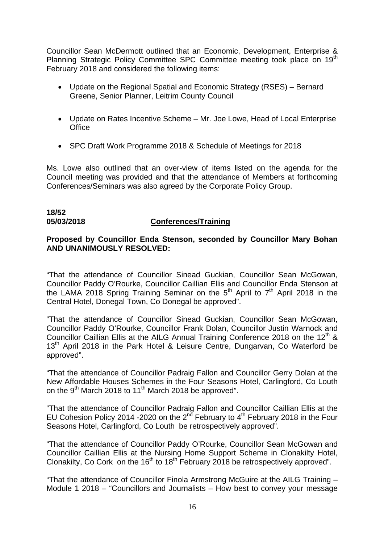Councillor Sean McDermott outlined that an Economic, Development, Enterprise & Planning Strategic Policy Committee SPC Committee meeting took place on 19<sup>th</sup> February 2018 and considered the following items:

- Update on the Regional Spatial and Economic Strategy (RSES) Bernard Greene, Senior Planner, Leitrim County Council
- Update on Rates Incentive Scheme Mr. Joe Lowe, Head of Local Enterprise **Office**
- SPC Draft Work Programme 2018 & Schedule of Meetings for 2018

Ms. Lowe also outlined that an over-view of items listed on the agenda for the Council meeting was provided and that the attendance of Members at forthcoming Conferences/Seminars was also agreed by the Corporate Policy Group.

# **18/52**

#### **05/03/2018 Conferences/Training**

## **Proposed by Councillor Enda Stenson, seconded by Councillor Mary Bohan AND UNANIMOUSLY RESOLVED:**

"That the attendance of Councillor Sinead Guckian, Councillor Sean McGowan, Councillor Paddy O'Rourke, Councillor Caillian Ellis and Councillor Enda Stenson at the LAMA 2018 Spring Training Seminar on the  $5<sup>th</sup>$  April to  $7<sup>th</sup>$  April 2018 in the Central Hotel, Donegal Town, Co Donegal be approved".

"That the attendance of Councillor Sinead Guckian, Councillor Sean McGowan, Councillor Paddy O'Rourke, Councillor Frank Dolan, Councillor Justin Warnock and Councillor Caillian Ellis at the AILG Annual Training Conference 2018 on the 12<sup>th</sup> & 13<sup>th</sup> April 2018 in the Park Hotel & Leisure Centre, Dungarvan, Co Waterford be approved".

"That the attendance of Councillor Padraig Fallon and Councillor Gerry Dolan at the New Affordable Houses Schemes in the Four Seasons Hotel, Carlingford, Co Louth on the 9<sup>th</sup> March 2018 to 11<sup>th</sup> March 2018 be approved".

"That the attendance of Councillor Padraig Fallon and Councillor Caillian Ellis at the EU Cohesion Policy 2014 -2020 on the  $2<sup>n\overline{d}</sup>$  February to  $4<sup>th</sup>$  February 2018 in the Four Seasons Hotel, Carlingford, Co Louth be retrospectively approved".

"That the attendance of Councillor Paddy O'Rourke, Councillor Sean McGowan and Councillor Caillian Ellis at the Nursing Home Support Scheme in Clonakilty Hotel, Clonakilty, Co Cork on the 16<sup>th</sup> to 18<sup>th</sup> February 2018 be retrospectively approved".

"That the attendance of Councillor Finola Armstrong McGuire at the AILG Training – Module 1 2018 – "Councillors and Journalists – How best to convey your message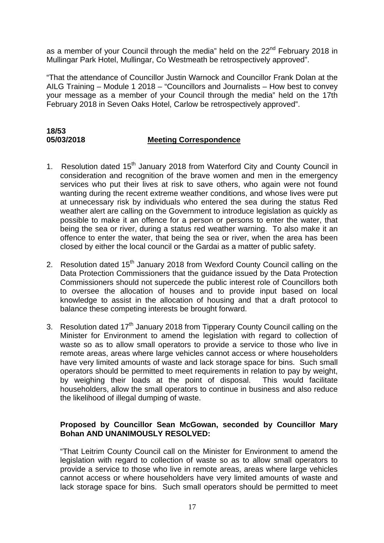as a member of your Council through the media" held on the  $22<sup>nd</sup>$  February 2018 in Mullingar Park Hotel, Mullingar, Co Westmeath be retrospectively approved".

"That the attendance of Councillor Justin Warnock and Councillor Frank Dolan at the AILG Training – Module 1 2018 – "Councillors and Journalists – How best to convey your message as a member of your Council through the media" held on the 17th February 2018 in Seven Oaks Hotel, Carlow be retrospectively approved".

# **18/53 05/03/2018 Meeting Correspondence**

- 1. Resolution dated 15<sup>th</sup> January 2018 from Waterford City and County Council in consideration and recognition of the brave women and men in the emergency services who put their lives at risk to save others, who again were not found wanting during the recent extreme weather conditions, and whose lives were put at unnecessary risk by individuals who entered the sea during the status Red weather alert are calling on the Government to introduce legislation as quickly as possible to make it an offence for a person or persons to enter the water, that being the sea or river, during a status red weather warning. To also make it an offence to enter the water, that being the sea or river, when the area has been closed by either the local council or the Gardai as a matter of public safety.
- 2. Resolution dated  $15<sup>th</sup>$  January 2018 from Wexford County Council calling on the Data Protection Commissioners that the guidance issued by the Data Protection Commissioners should not supercede the public interest role of Councillors both to oversee the allocation of houses and to provide input based on local knowledge to assist in the allocation of housing and that a draft protocol to balance these competing interests be brought forward.
- 3. Resolution dated  $17<sup>th</sup>$  January 2018 from Tipperary County Council calling on the Minister for Environment to amend the legislation with regard to collection of waste so as to allow small operators to provide a service to those who live in remote areas, areas where large vehicles cannot access or where householders have very limited amounts of waste and lack storage space for bins. Such small operators should be permitted to meet requirements in relation to pay by weight, by weighing their loads at the point of disposal. This would facilitate householders, allow the small operators to continue in business and also reduce the likelihood of illegal dumping of waste.

# **Proposed by Councillor Sean McGowan, seconded by Councillor Mary Bohan AND UNANIMOUSLY RESOLVED:**

"That Leitrim County Council call on the Minister for Environment to amend the legislation with regard to collection of waste so as to allow small operators to provide a service to those who live in remote areas, areas where large vehicles cannot access or where householders have very limited amounts of waste and lack storage space for bins. Such small operators should be permitted to meet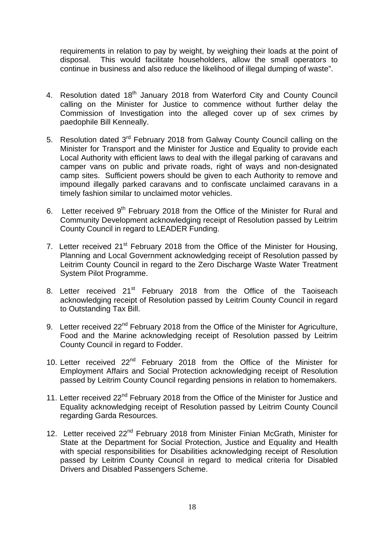requirements in relation to pay by weight, by weighing their loads at the point of disposal. This would facilitate householders, allow the small operators to continue in business and also reduce the likelihood of illegal dumping of waste".

- 4. Resolution dated 18<sup>th</sup> January 2018 from Waterford City and County Council calling on the Minister for Justice to commence without further delay the Commission of Investigation into the alleged cover up of sex crimes by paedophile Bill Kenneally.
- 5. Resolution dated 3<sup>rd</sup> February 2018 from Galway County Council calling on the Minister for Transport and the Minister for Justice and Equality to provide each Local Authority with efficient laws to deal with the illegal parking of caravans and camper vans on public and private roads, right of ways and non-designated camp sites. Sufficient powers should be given to each Authority to remove and impound illegally parked caravans and to confiscate unclaimed caravans in a timely fashion similar to unclaimed motor vehicles.
- 6. Letter received 9<sup>th</sup> February 2018 from the Office of the Minister for Rural and Community Development acknowledging receipt of Resolution passed by Leitrim County Council in regard to LEADER Funding.
- 7. Letter received 21<sup>st</sup> February 2018 from the Office of the Minister for Housing, Planning and Local Government acknowledging receipt of Resolution passed by Leitrim County Council in regard to the Zero Discharge Waste Water Treatment System Pilot Programme.
- 8. Letter received 21<sup>st</sup> February 2018 from the Office of the Taoiseach acknowledging receipt of Resolution passed by Leitrim County Council in regard to Outstanding Tax Bill.
- 9. Letter received 22<sup>nd</sup> February 2018 from the Office of the Minister for Agriculture, Food and the Marine acknowledging receipt of Resolution passed by Leitrim County Council in regard to Fodder.
- 10. Letter received 22<sup>nd</sup> February 2018 from the Office of the Minister for Employment Affairs and Social Protection acknowledging receipt of Resolution passed by Leitrim County Council regarding pensions in relation to homemakers.
- 11. Letter received 22<sup>nd</sup> February 2018 from the Office of the Minister for Justice and Equality acknowledging receipt of Resolution passed by Leitrim County Council regarding Garda Resources.
- 12. Letter received 22<sup>nd</sup> February 2018 from Minister Finian McGrath, Minister for State at the Department for Social Protection, Justice and Equality and Health with special responsibilities for Disabilities acknowledging receipt of Resolution passed by Leitrim County Council in regard to medical criteria for Disabled Drivers and Disabled Passengers Scheme.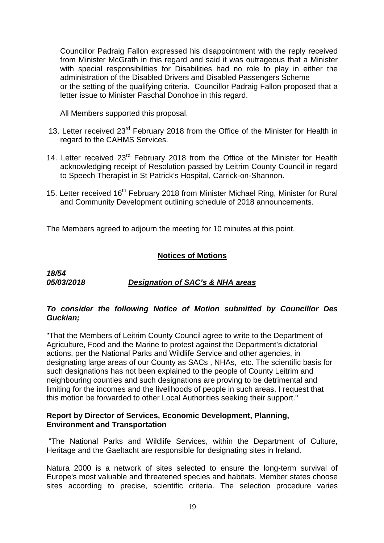Councillor Padraig Fallon expressed his disappointment with the reply received from Minister McGrath in this regard and said it was outrageous that a Minister with special responsibilities for Disabilities had no role to play in either the administration of the Disabled Drivers and Disabled Passengers Scheme or the setting of the qualifying criteria. Councillor Padraig Fallon proposed that a letter issue to Minister Paschal Donohoe in this regard.

All Members supported this proposal.

- 13. Letter received  $23<sup>rd</sup>$  February 2018 from the Office of the Minister for Health in regard to the CAHMS Services.
- 14. Letter received 23<sup>rd</sup> February 2018 from the Office of the Minister for Health acknowledging receipt of Resolution passed by Leitrim County Council in regard to Speech Therapist in St Patrick's Hospital, Carrick-on-Shannon.
- 15. Letter received 16<sup>th</sup> February 2018 from Minister Michael Ring, Minister for Rural and Community Development outlining schedule of 2018 announcements.

The Members agreed to adjourn the meeting for 10 minutes at this point.

# **Notices of Motions**

*18/54* 

*05/03/2018 Designation of SAC's & NHA areas*

# *To consider the following Notice of Motion submitted by Councillor Des Guckian;*

"That the Members of Leitrim County Council agree to write to the Department of Agriculture, Food and the Marine to protest against the Department's dictatorial actions, per the National Parks and Wildlife Service and other agencies, in designating large areas of our County as SACs , NHAs, etc. The scientific basis for such designations has not been explained to the people of County Leitrim and neighbouring counties and such designations are proving to be detrimental and limiting for the incomes and the livelihoods of people in such areas. I request that this motion be forwarded to other Local Authorities seeking their support."

# **Report by Director of Services, Economic Development, Planning, Environment and Transportation**

"The National Parks and Wildlife Services, within the Department of Culture, Heritage and the Gaeltacht are responsible for designating sites in Ireland.

Natura 2000 is a network of sites selected to ensure the long-term survival of Europe's most valuable and threatened species and habitats. Member states choose sites according to precise, scientific criteria. The selection procedure varies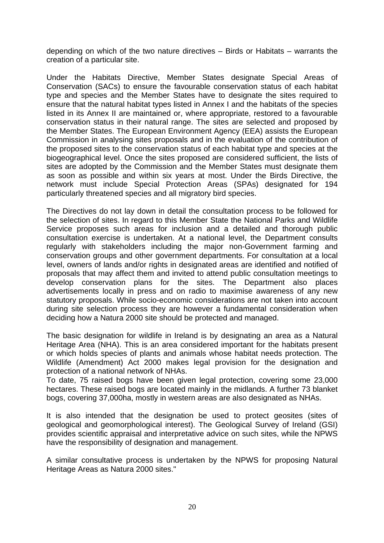depending on which of the two nature directives – Birds or Habitats – warrants the creation of a particular site.

Under the Habitats Directive, Member States designate Special Areas of Conservation (SACs) to ensure the favourable conservation status of each habitat type and species and the Member States have to designate the sites required to ensure that the natural habitat types listed in Annex I and the habitats of the species listed in its Annex II are maintained or, where appropriate, restored to a favourable conservation status in their natural range. The sites are selected and proposed by the Member States. The European Environment Agency (EEA) assists the European Commission in analysing sites proposals and in the evaluation of the contribution of the proposed sites to the conservation status of each habitat type and species at the biogeographical level. Once the sites proposed are considered sufficient, the lists of sites are adopted by the Commission and the Member States must designate them as soon as possible and within six years at most. Under the Birds Directive, the network must include Special Protection Areas (SPAs) designated for 194 particularly threatened species and all migratory bird species.

The Directives do not lay down in detail the consultation process to be followed for the selection of sites. In regard to this Member State the National Parks and Wildlife Service proposes such areas for inclusion and a detailed and thorough public consultation exercise is undertaken. At a national level, the Department consults regularly with stakeholders including the major non-Government farming and conservation groups and other government departments. For consultation at a local level, owners of lands and/or rights in designated areas are identified and notified of proposals that may affect them and invited to attend public consultation meetings to develop conservation plans for the sites. The Department also places advertisements locally in press and on radio to maximise awareness of any new statutory proposals. While socio-economic considerations are not taken into account during site selection process they are however a fundamental consideration when deciding how a Natura 2000 site should be protected and managed.

The basic designation for wildlife in Ireland is by designating an area as a Natural Heritage Area (NHA). This is an area considered important for the habitats present or which holds species of plants and animals whose habitat needs protection. The Wildlife (Amendment) Act 2000 makes legal provision for the designation and protection of a national network of NHAs.

To date, 75 raised bogs have been given legal protection, covering some 23,000 hectares. These raised bogs are located mainly in the midlands. A further 73 blanket bogs, covering 37,000ha, mostly in western areas are also designated as NHAs.

It is also intended that the designation be used to protect geosites (sites of geological and geomorphological interest). The Geological Survey of Ireland (GSI) provides scientific appraisal and interpretative advice on such sites, while the NPWS have the responsibility of designation and management.

A similar consultative process is undertaken by the NPWS for proposing Natural Heritage Areas as Natura 2000 sites."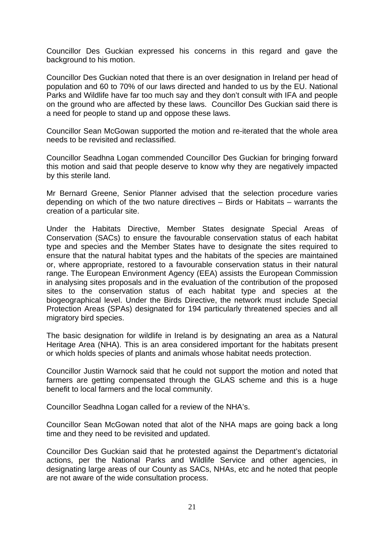Councillor Des Guckian expressed his concerns in this regard and gave the background to his motion.

Councillor Des Guckian noted that there is an over designation in Ireland per head of population and 60 to 70% of our laws directed and handed to us by the EU. National Parks and Wildlife have far too much say and they don't consult with IFA and people on the ground who are affected by these laws. Councillor Des Guckian said there is a need for people to stand up and oppose these laws.

Councillor Sean McGowan supported the motion and re-iterated that the whole area needs to be revisited and reclassified.

Councillor Seadhna Logan commended Councillor Des Guckian for bringing forward this motion and said that people deserve to know why they are negatively impacted by this sterile land.

Mr Bernard Greene, Senior Planner advised that the selection procedure varies depending on which of the two nature directives – Birds or Habitats – warrants the creation of a particular site.

Under the Habitats Directive, Member States designate Special Areas of Conservation (SACs) to ensure the favourable conservation status of each habitat type and species and the Member States have to designate the sites required to ensure that the natural habitat types and the habitats of the species are maintained or, where appropriate, restored to a favourable conservation status in their natural range. The European Environment Agency (EEA) assists the European Commission in analysing sites proposals and in the evaluation of the contribution of the proposed sites to the conservation status of each habitat type and species at the biogeographical level. Under the Birds Directive, the network must include Special Protection Areas (SPAs) designated for 194 particularly threatened species and all migratory bird species.

The basic designation for wildlife in Ireland is by designating an area as a Natural Heritage Area (NHA). This is an area considered important for the habitats present or which holds species of plants and animals whose habitat needs protection.

Councillor Justin Warnock said that he could not support the motion and noted that farmers are getting compensated through the GLAS scheme and this is a huge benefit to local farmers and the local community.

Councillor Seadhna Logan called for a review of the NHA's.

Councillor Sean McGowan noted that alot of the NHA maps are going back a long time and they need to be revisited and updated.

Councillor Des Guckian said that he protested against the Department's dictatorial actions, per the National Parks and Wildlife Service and other agencies, in designating large areas of our County as SACs, NHAs, etc and he noted that people are not aware of the wide consultation process.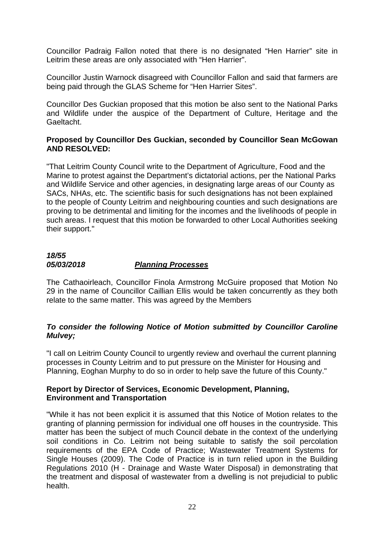Councillor Padraig Fallon noted that there is no designated "Hen Harrier" site in Leitrim these areas are only associated with "Hen Harrier".

Councillor Justin Warnock disagreed with Councillor Fallon and said that farmers are being paid through the GLAS Scheme for "Hen Harrier Sites".

Councillor Des Guckian proposed that this motion be also sent to the National Parks and Wildlife under the auspice of the Department of Culture, Heritage and the Gaeltacht.

# **Proposed by Councillor Des Guckian, seconded by Councillor Sean McGowan AND RESOLVED:**

"That Leitrim County Council write to the Department of Agriculture, Food and the Marine to protest against the Department's dictatorial actions, per the National Parks and Wildlife Service and other agencies, in designating large areas of our County as SACs, NHAs, etc. The scientific basis for such designations has not been explained to the people of County Leitrim and neighbouring counties and such designations are proving to be detrimental and limiting for the incomes and the livelihoods of people in such areas. I request that this motion be forwarded to other Local Authorities seeking their support."

# *18/55 05/03/2018 Planning Processes*

The Cathaoirleach, Councillor Finola Armstrong McGuire proposed that Motion No 29 in the name of Councillor Caillian Ellis would be taken concurrently as they both relate to the same matter. This was agreed by the Members

# *To consider the following Notice of Motion submitted by Councillor Caroline Mulvey;*

"I call on Leitrim County Council to urgently review and overhaul the current planning processes in County Leitrim and to put pressure on the Minister for Housing and Planning, Eoghan Murphy to do so in order to help save the future of this County."

# **Report by Director of Services, Economic Development, Planning, Environment and Transportation**

"While it has not been explicit it is assumed that this Notice of Motion relates to the granting of planning permission for individual one off houses in the countryside. This matter has been the subject of much Council debate in the context of the underlying soil conditions in Co. Leitrim not being suitable to satisfy the soil percolation requirements of the EPA Code of Practice; Wastewater Treatment Systems for Single Houses (2009). The Code of Practice is in turn relied upon in the Building Regulations 2010 (H - Drainage and Waste Water Disposal) in demonstrating that the treatment and disposal of wastewater from a dwelling is not prejudicial to public health.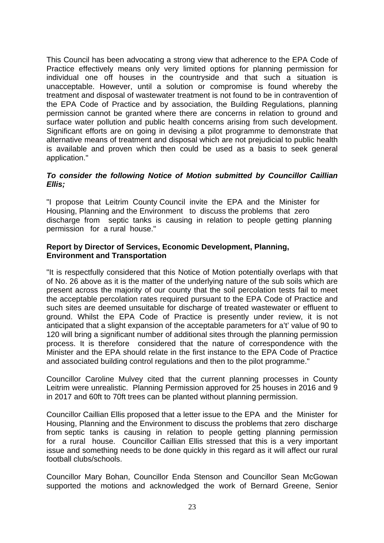This Council has been advocating a strong view that adherence to the EPA Code of Practice effectively means only very limited options for planning permission for individual one off houses in the countryside and that such a situation is unacceptable. However, until a solution or compromise is found whereby the treatment and disposal of wastewater treatment is not found to be in contravention of the EPA Code of Practice and by association, the Building Regulations, planning permission cannot be granted where there are concerns in relation to ground and surface water pollution and public health concerns arising from such development. Significant efforts are on going in devising a pilot programme to demonstrate that alternative means of treatment and disposal which are not prejudicial to public health is available and proven which then could be used as a basis to seek general application."

# *To consider the following Notice of Motion submitted by Councillor Caillian Ellis;*

"I propose that Leitrim County Council invite the EPA and the Minister for Housing, Planning and the Environment to discuss the problems that zero discharge from septic tanks is causing in relation to people getting planning permission for a rural house."

# **Report by Director of Services, Economic Development, Planning, Environment and Transportation**

"It is respectfully considered that this Notice of Motion potentially overlaps with that of No. 26 above as it is the matter of the underlying nature of the sub soils which are present across the majority of our county that the soil percolation tests fail to meet the acceptable percolation rates required pursuant to the EPA Code of Practice and such sites are deemed unsuitable for discharge of treated wastewater or effluent to ground. Whilst the EPA Code of Practice is presently under review, it is not anticipated that a slight expansion of the acceptable parameters for a't' value of 90 to 120 will bring a significant number of additional sites through the planning permission process. It is therefore considered that the nature of correspondence with the Minister and the EPA should relate in the first instance to the EPA Code of Practice and associated building control regulations and then to the pilot programme."

Councillor Caroline Mulvey cited that the current planning processes in County Leitrim were unrealistic. Planning Permission approved for 25 houses in 2016 and 9 in 2017 and 60ft to 70ft trees can be planted without planning permission.

Councillor Caillian Ellis proposed that a letter issue to the EPA and the Minister for Housing, Planning and the Environment to discuss the problems that zero discharge from septic tanks is causing in relation to people getting planning permission for a rural house. Councillor Caillian Ellis stressed that this is a very important issue and something needs to be done quickly in this regard as it will affect our rural football clubs/schools.

Councillor Mary Bohan, Councillor Enda Stenson and Councillor Sean McGowan supported the motions and acknowledged the work of Bernard Greene, Senior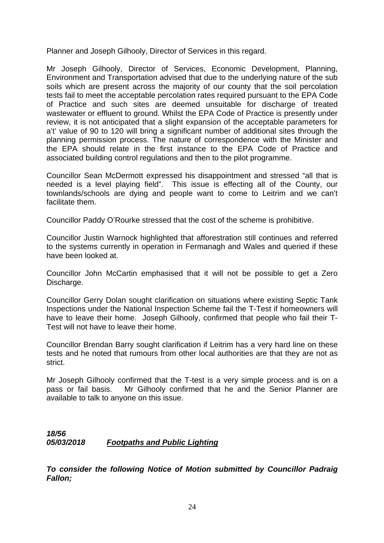Planner and Joseph Gilhooly, Director of Services in this regard.

Mr Joseph Gilhooly, Director of Services, Economic Development, Planning, Environment and Transportation advised that due to the underlying nature of the sub soils which are present across the majority of our county that the soil percolation tests fail to meet the acceptable percolation rates required pursuant to the EPA Code of Practice and such sites are deemed unsuitable for discharge of treated wastewater or effluent to ground. Whilst the EPA Code of Practice is presently under review, it is not anticipated that a slight expansion of the acceptable parameters for a't' value of 90 to 120 will bring a significant number of additional sites through the planning permission process. The nature of correspondence with the Minister and the EPA should relate in the first instance to the EPA Code of Practice and associated building control regulations and then to the pilot programme.

Councillor Sean McDermott expressed his disappointment and stressed "all that is needed is a level playing field". This issue is effecting all of the County, our townlands/schools are dying and people want to come to Leitrim and we can't facilitate them.

Councillor Paddy O'Rourke stressed that the cost of the scheme is prohibitive.

Councillor Justin Warnock highlighted that afforestration still continues and referred to the systems currently in operation in Fermanagh and Wales and queried if these have been looked at.

Councillor John McCartin emphasised that it will not be possible to get a Zero Discharge.

Councillor Gerry Dolan sought clarification on situations where existing Septic Tank Inspections under the National Inspection Scheme fail the T-Test if homeowners will have to leave their home. Joseph Gilhooly, confirmed that people who fail their T-Test will not have to leave their home.

Councillor Brendan Barry sought clarification if Leitrim has a very hard line on these tests and he noted that rumours from other local authorities are that they are not as strict.

Mr Joseph Gilhooly confirmed that the T-test is a very simple process and is on a pass or fail basis. Mr Gilhooly confirmed that he and the Senior Planner are available to talk to anyone on this issue.

*18/56 05/03/2018 Footpaths and Public Lighting* 

*To consider the following Notice of Motion submitted by Councillor Padraig Fallon;*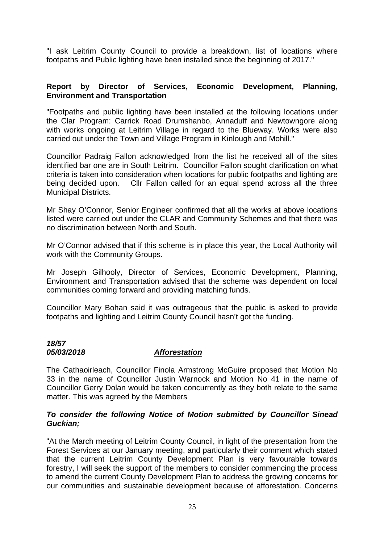"I ask Leitrim County Council to provide a breakdown, list of locations where footpaths and Public lighting have been installed since the beginning of 2017."

# **Report by Director of Services, Economic Development, Planning, Environment and Transportation**

"Footpaths and public lighting have been installed at the following locations under the Clar Program: Carrick Road Drumshanbo, Annaduff and Newtowngore along with works ongoing at Leitrim Village in regard to the Blueway. Works were also carried out under the Town and Village Program in Kinlough and Mohill."

Councillor Padraig Fallon acknowledged from the list he received all of the sites identified bar one are in South Leitrim. Councillor Fallon sought clarification on what criteria is taken into consideration when locations for public footpaths and lighting are being decided upon. Cllr Fallon called for an equal spend across all the three Municipal Districts.

Mr Shay O'Connor, Senior Engineer confirmed that all the works at above locations listed were carried out under the CLAR and Community Schemes and that there was no discrimination between North and South.

Mr O'Connor advised that if this scheme is in place this year, the Local Authority will work with the Community Groups.

Mr Joseph Gilhooly, Director of Services, Economic Development, Planning, Environment and Transportation advised that the scheme was dependent on local communities coming forward and providing matching funds.

Councillor Mary Bohan said it was outrageous that the public is asked to provide footpaths and lighting and Leitrim County Council hasn't got the funding.

# *18/57*

# *05/03/2018 Afforestation*

The Cathaoirleach, Councillor Finola Armstrong McGuire proposed that Motion No 33 in the name of Councillor Justin Warnock and Motion No 41 in the name of Councillor Gerry Dolan would be taken concurrently as they both relate to the same matter. This was agreed by the Members

# *To consider the following Notice of Motion submitted by Councillor Sinead Guckian;*

"At the March meeting of Leitrim County Council, in light of the presentation from the Forest Services at our January meeting, and particularly their comment which stated that the current Leitrim County Development Plan is very favourable towards forestry, I will seek the support of the members to consider commencing the process to amend the current County Development Plan to address the growing concerns for our communities and sustainable development because of afforestation. Concerns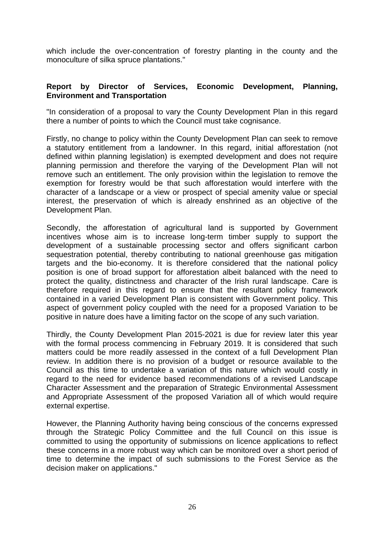which include the over-concentration of forestry planting in the county and the monoculture of silka spruce plantations."

# **Report by Director of Services, Economic Development, Planning, Environment and Transportation**

"In consideration of a proposal to vary the County Development Plan in this regard there a number of points to which the Council must take cognisance.

Firstly, no change to policy within the County Development Plan can seek to remove a statutory entitlement from a landowner. In this regard, initial afforestation (not defined within planning legislation) is exempted development and does not require planning permission and therefore the varying of the Development Plan will not remove such an entitlement. The only provision within the legislation to remove the exemption for forestry would be that such afforestation would interfere with the character of a landscape or a view or prospect of special amenity value or special interest, the preservation of which is already enshrined as an objective of the Development Plan.

Secondly, the afforestation of agricultural land is supported by Government incentives whose aim is to increase long-term timber supply to support the development of a sustainable processing sector and offers significant carbon sequestration potential, thereby contributing to national greenhouse gas mitigation targets and the bio-economy. It is therefore considered that the national policy position is one of broad support for afforestation albeit balanced with the need to protect the quality, distinctness and character of the Irish rural landscape. Care is therefore required in this regard to ensure that the resultant policy framework contained in a varied Development Plan is consistent with Government policy. This aspect of government policy coupled with the need for a proposed Variation to be positive in nature does have a limiting factor on the scope of any such variation.

Thirdly, the County Development Plan 2015-2021 is due for review later this year with the formal process commencing in February 2019. It is considered that such matters could be more readily assessed in the context of a full Development Plan review. In addition there is no provision of a budget or resource available to the Council as this time to undertake a variation of this nature which would costly in regard to the need for evidence based recommendations of a revised Landscape Character Assessment and the preparation of Strategic Environmental Assessment and Appropriate Assessment of the proposed Variation all of which would require external expertise.

However, the Planning Authority having being conscious of the concerns expressed through the Strategic Policy Committee and the full Council on this issue is committed to using the opportunity of submissions on licence applications to reflect these concerns in a more robust way which can be monitored over a short period of time to determine the impact of such submissions to the Forest Service as the decision maker on applications."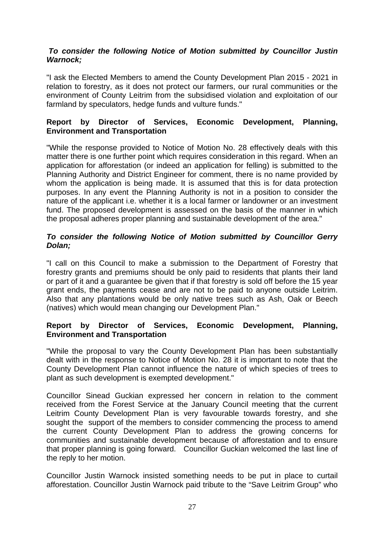# *To consider the following Notice of Motion submitted by Councillor Justin Warnock;*

"I ask the Elected Members to amend the County Development Plan 2015 - 2021 in relation to forestry, as it does not protect our farmers, our rural communities or the environment of County Leitrim from the subsidised violation and exploitation of our farmland by speculators, hedge funds and vulture funds."

# **Report by Director of Services, Economic Development, Planning, Environment and Transportation**

"While the response provided to Notice of Motion No. 28 effectively deals with this matter there is one further point which requires consideration in this regard. When an application for afforestation (or indeed an application for felling) is submitted to the Planning Authority and District Engineer for comment, there is no name provided by whom the application is being made. It is assumed that this is for data protection purposes. In any event the Planning Authority is not in a position to consider the nature of the applicant i.e. whether it is a local farmer or landowner or an investment fund. The proposed development is assessed on the basis of the manner in which the proposal adheres proper planning and sustainable development of the area."

# *To consider the following Notice of Motion submitted by Councillor Gerry Dolan;*

"I call on this Council to make a submission to the Department of Forestry that forestry grants and premiums should be only paid to residents that plants their land or part of it and a guarantee be given that if that forestry is sold off before the 15 year grant ends, the payments cease and are not to be paid to anyone outside Leitrim. Also that any plantations would be only native trees such as Ash, Oak or Beech (natives) which would mean changing our Development Plan."

# **Report by Director of Services, Economic Development, Planning, Environment and Transportation**

"While the proposal to vary the County Development Plan has been substantially dealt with in the response to Notice of Motion No. 28 it is important to note that the County Development Plan cannot influence the nature of which species of trees to plant as such development is exempted development."

Councillor Sinead Guckian expressed her concern in relation to the comment received from the Forest Service at the January Council meeting that the current Leitrim County Development Plan is very favourable towards forestry, and she sought the support of the members to consider commencing the process to amend the current County Development Plan to address the growing concerns for communities and sustainable development because of afforestation and to ensure that proper planning is going forward. Councillor Guckian welcomed the last line of the reply to her motion.

Councillor Justin Warnock insisted something needs to be put in place to curtail afforestation. Councillor Justin Warnock paid tribute to the "Save Leitrim Group" who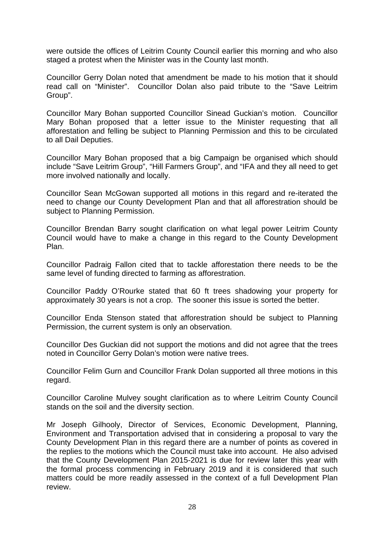were outside the offices of Leitrim County Council earlier this morning and who also staged a protest when the Minister was in the County last month.

Councillor Gerry Dolan noted that amendment be made to his motion that it should read call on "Minister". Councillor Dolan also paid tribute to the "Save Leitrim Group".

Councillor Mary Bohan supported Councillor Sinead Guckian's motion. Councillor Mary Bohan proposed that a letter issue to the Minister requesting that all afforestation and felling be subject to Planning Permission and this to be circulated to all Dail Deputies.

Councillor Mary Bohan proposed that a big Campaign be organised which should include "Save Leitrim Group", "Hill Farmers Group", and "IFA and they all need to get more involved nationally and locally.

Councillor Sean McGowan supported all motions in this regard and re-iterated the need to change our County Development Plan and that all afforestration should be subject to Planning Permission.

Councillor Brendan Barry sought clarification on what legal power Leitrim County Council would have to make a change in this regard to the County Development Plan.

Councillor Padraig Fallon cited that to tackle afforestation there needs to be the same level of funding directed to farming as afforestration.

Councillor Paddy O'Rourke stated that 60 ft trees shadowing your property for approximately 30 years is not a crop. The sooner this issue is sorted the better.

Councillor Enda Stenson stated that afforestration should be subject to Planning Permission, the current system is only an observation.

Councillor Des Guckian did not support the motions and did not agree that the trees noted in Councillor Gerry Dolan's motion were native trees.

Councillor Felim Gurn and Councillor Frank Dolan supported all three motions in this regard.

Councillor Caroline Mulvey sought clarification as to where Leitrim County Council stands on the soil and the diversity section.

Mr Joseph Gilhooly, Director of Services, Economic Development, Planning, Environment and Transportation advised that in considering a proposal to vary the County Development Plan in this regard there are a number of points as covered in the replies to the motions which the Council must take into account. He also advised that the County Development Plan 2015-2021 is due for review later this year with the formal process commencing in February 2019 and it is considered that such matters could be more readily assessed in the context of a full Development Plan review.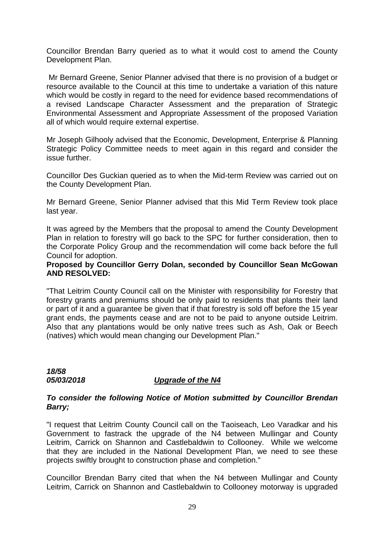Councillor Brendan Barry queried as to what it would cost to amend the County Development Plan.

 Mr Bernard Greene, Senior Planner advised that there is no provision of a budget or resource available to the Council at this time to undertake a variation of this nature which would be costly in regard to the need for evidence based recommendations of a revised Landscape Character Assessment and the preparation of Strategic Environmental Assessment and Appropriate Assessment of the proposed Variation all of which would require external expertise.

Mr Joseph Gilhooly advised that the Economic, Development, Enterprise & Planning Strategic Policy Committee needs to meet again in this regard and consider the issue further.

Councillor Des Guckian queried as to when the Mid-term Review was carried out on the County Development Plan.

Mr Bernard Greene, Senior Planner advised that this Mid Term Review took place last year.

It was agreed by the Members that the proposal to amend the County Development Plan in relation to forestry will go back to the SPC for further consideration, then to the Corporate Policy Group and the recommendation will come back before the full Council for adoption.

#### **Proposed by Councillor Gerry Dolan, seconded by Councillor Sean McGowan AND RESOLVED:**

"That Leitrim County Council call on the Minister with responsibility for Forestry that forestry grants and premiums should be only paid to residents that plants their land or part of it and a guarantee be given that if that forestry is sold off before the 15 year grant ends, the payments cease and are not to be paid to anyone outside Leitrim. Also that any plantations would be only native trees such as Ash, Oak or Beech (natives) which would mean changing our Development Plan."

*18/58* 

# *05/03/2018 Upgrade of the N4*

# *To consider the following Notice of Motion submitted by Councillor Brendan Barry;*

"I request that Leitrim County Council call on the Taoiseach, Leo Varadkar and his Government to fastrack the upgrade of the N4 between Mullingar and County Leitrim, Carrick on Shannon and Castlebaldwin to Collooney. While we welcome that they are included in the National Development Plan, we need to see these projects swiftly brought to construction phase and completion."

Councillor Brendan Barry cited that when the N4 between Mullingar and County Leitrim, Carrick on Shannon and Castlebaldwin to Collooney motorway is upgraded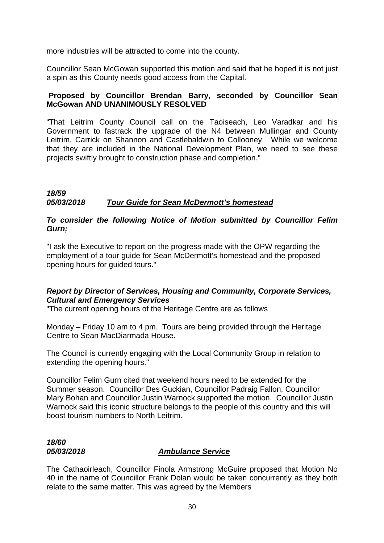more industries will be attracted to come into the county.

Councillor Sean McGowan supported this motion and said that he hoped it is not just a spin as this County needs good access from the Capital.

# **Proposed by Councillor Brendan Barry, seconded by Councillor Sean McGowan AND UNANIMOUSLY RESOLVED**

"That Leitrim County Council call on the Taoiseach, Leo Varadkar and his Government to fastrack the upgrade of the N4 between Mullingar and County Leitrim, Carrick on Shannon and Castlebaldwin to Collooney. While we welcome that they are included in the National Development Plan, we need to see these projects swiftly brought to construction phase and completion."

# *18/59 05/03/2018 Tour Guide for Sean McDermott's homestead*

# *To consider the following Notice of Motion submitted by Councillor Felim Gurn;*

"I ask the Executive to report on the progress made with the OPW regarding the employment of a tour guide for Sean McDermott's homestead and the proposed opening hours for guided tours."

# *Report by Director of Services, Housing and Community, Corporate Services, Cultural and Emergency Services*

"The current opening hours of the Heritage Centre are as follows

Monday – Friday 10 am to 4 pm. Tours are being provided through the Heritage Centre to Sean MacDiarmada House.

The Council is currently engaging with the Local Community Group in relation to extending the opening hours."

Councillor Felim Gurn cited that weekend hours need to be extended for the Summer season. Councillor Des Guckian, Councillor Padraig Fallon, Councillor Mary Bohan and Councillor Justin Warnock supported the motion. Councillor Justin Warnock said this iconic structure belongs to the people of this country and this will boost tourism numbers to North Leitrim.

# *18/60*

# *05/03/2018 Ambulance Service*

The Cathaoirleach, Councillor Finola Armstrong McGuire proposed that Motion No 40 in the name of Councillor Frank Dolan would be taken concurrently as they both relate to the same matter. This was agreed by the Members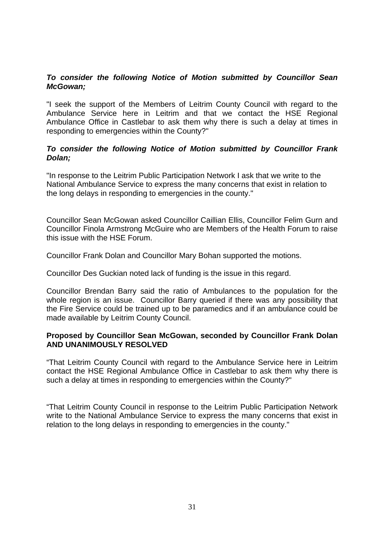# *To consider the following Notice of Motion submitted by Councillor Sean McGowan;*

"I seek the support of the Members of Leitrim County Council with regard to the Ambulance Service here in Leitrim and that we contact the HSE Regional Ambulance Office in Castlebar to ask them why there is such a delay at times in responding to emergencies within the County?"

# *To consider the following Notice of Motion submitted by Councillor Frank Dolan;*

"In response to the Leitrim Public Participation Network I ask that we write to the National Ambulance Service to express the many concerns that exist in relation to the long delays in responding to emergencies in the county."

Councillor Sean McGowan asked Councillor Caillian Ellis, Councillor Felim Gurn and Councillor Finola Armstrong McGuire who are Members of the Health Forum to raise this issue with the HSE Forum.

Councillor Frank Dolan and Councillor Mary Bohan supported the motions.

Councillor Des Guckian noted lack of funding is the issue in this regard.

Councillor Brendan Barry said the ratio of Ambulances to the population for the whole region is an issue. Councillor Barry queried if there was any possibility that the Fire Service could be trained up to be paramedics and if an ambulance could be made available by Leitrim County Council.

# **Proposed by Councillor Sean McGowan, seconded by Councillor Frank Dolan AND UNANIMOUSLY RESOLVED**

"That Leitrim County Council with regard to the Ambulance Service here in Leitrim contact the HSE Regional Ambulance Office in Castlebar to ask them why there is such a delay at times in responding to emergencies within the County?"

"That Leitrim County Council in response to the Leitrim Public Participation Network write to the National Ambulance Service to express the many concerns that exist in relation to the long delays in responding to emergencies in the county."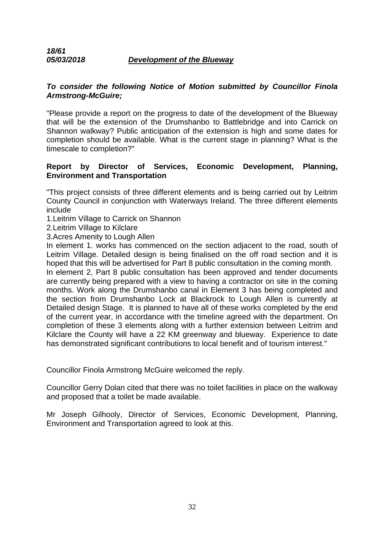# *18/61 05/03/2018 Development of the Blueway*

# *To consider the following Notice of Motion submitted by Councillor Finola Armstrong-McGuire;*

"Please provide a report on the progress to date of the development of the Blueway that will be the extension of the Drumshanbo to Battlebridge and into Carrick on Shannon walkway? Public anticipation of the extension is high and some dates for completion should be available. What is the current stage in planning? What is the timescale to completion?"

# **Report by Director of Services, Economic Development, Planning, Environment and Transportation**

"This project consists of three different elements and is being carried out by Leitrim County Council in conjunction with Waterways Ireland. The three different elements include

1.Leitrim Village to Carrick on Shannon

2.Leitrim Village to Kilclare

3.Acres Amenity to Lough Allen

In element 1. works has commenced on the section adjacent to the road, south of Leitrim Village. Detailed design is being finalised on the off road section and it is hoped that this will be advertised for Part 8 public consultation in the coming month.

In element 2, Part 8 public consultation has been approved and tender documents are currently being prepared with a view to having a contractor on site in the coming months. Work along the Drumshanbo canal in Element 3 has being completed and the section from Drumshanbo Lock at Blackrock to Lough Allen is currently at Detailed design Stage. It is planned to have all of these works completed by the end of the current year, in accordance with the timeline agreed with the department. On completion of these 3 elements along with a further extension between Leitrim and Kilclare the County will have a 22 KM greenway and blueway. Experience to date has demonstrated significant contributions to local benefit and of tourism interest."

Councillor Finola Armstrong McGuire welcomed the reply.

Councillor Gerry Dolan cited that there was no toilet facilities in place on the walkway and proposed that a toilet be made available.

Mr Joseph Gilhooly, Director of Services, Economic Development, Planning, Environment and Transportation agreed to look at this.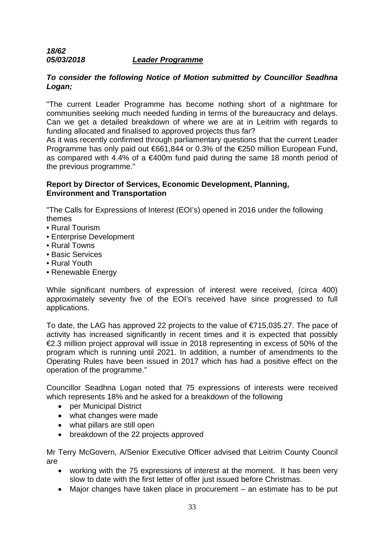# *18/62 05/03/2018 Leader Programme*

# *To consider the following Notice of Motion submitted by Councillor Seadhna Logan;*

"The current Leader Programme has become nothing short of a nightmare for communities seeking much needed funding in terms of the bureaucracy and delays. Can we get a detailed breakdown of where we are at in Leitrim with regards to funding allocated and finalised to approved projects thus far?

As it was recently confirmed through parliamentary questions that the current Leader Programme has only paid out €661,844 or 0.3% of the €250 million European Fund, as compared with 4.4% of a €400m fund paid during the same 18 month period of the previous programme."

# **Report by Director of Services, Economic Development, Planning, Environment and Transportation**

"The Calls for Expressions of Interest (EOI's) opened in 2016 under the following themes

- Rural Tourism
- Enterprise Development
- Rural Towns
- Basic Services
- Rural Youth
- Renewable Energy

While significant numbers of expression of interest were received, (circa 400) approximately seventy five of the EOI's received have since progressed to full applications.

To date, the LAG has approved 22 projects to the value of €715,035.27. The pace of activity has increased significantly in recent times and it is expected that possibly €2.3 million project approval will issue in 2018 representing in excess of 50% of the program which is running until 2021. In addition, a number of amendments to the Operating Rules have been issued in 2017 which has had a positive effect on the operation of the programme."

Councillor Seadhna Logan noted that 75 expressions of interests were received which represents 18% and he asked for a breakdown of the following

- per Municipal District
- what changes were made
- what pillars are still open
- breakdown of the 22 projects approved

Mr Terry McGovern, A/Senior Executive Officer advised that Leitrim County Council are

- working with the 75 expressions of interest at the moment. It has been very slow to date with the first letter of offer just issued before Christmas.
- Major changes have taken place in procurement an estimate has to be put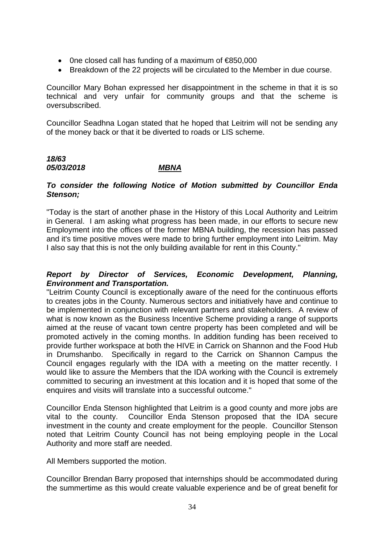- 0ne closed call has funding of a maximum of €850,000
- Breakdown of the 22 projects will be circulated to the Member in due course.

Councillor Mary Bohan expressed her disappointment in the scheme in that it is so technical and very unfair for community groups and that the scheme is oversubscribed.

Councillor Seadhna Logan stated that he hoped that Leitrim will not be sending any of the money back or that it be diverted to roads or LIS scheme.

# *18/63 05/03/2018 MBNA*

# *To consider the following Notice of Motion submitted by Councillor Enda Stenson;*

"Today is the start of another phase in the History of this Local Authority and Leitrim in General. I am asking what progress has been made, in our efforts to secure new Employment into the offices of the former MBNA building, the recession has passed and it's time positive moves were made to bring further employment into Leitrim. May I also say that this is not the only building available for rent in this County."

# *Report by Director of Services, Economic Development, Planning, Environment and Transportation.*

"Leitrim County Council is exceptionally aware of the need for the continuous efforts to creates jobs in the County. Numerous sectors and initiatively have and continue to be implemented in conjunction with relevant partners and stakeholders. A review of what is now known as the Business Incentive Scheme providing a range of supports aimed at the reuse of vacant town centre property has been completed and will be promoted actively in the coming months. In addition funding has been received to provide further workspace at both the HIVE in Carrick on Shannon and the Food Hub in Drumshanbo. Specifically in regard to the Carrick on Shannon Campus the Council engages regularly with the IDA with a meeting on the matter recently. I would like to assure the Members that the IDA working with the Council is extremely committed to securing an investment at this location and it is hoped that some of the enquires and visits will translate into a successful outcome."

Councillor Enda Stenson highlighted that Leitrim is a good county and more jobs are vital to the county. Councillor Enda Stenson proposed that the IDA secure investment in the county and create employment for the people. Councillor Stenson noted that Leitrim County Council has not being employing people in the Local Authority and more staff are needed.

All Members supported the motion.

Councillor Brendan Barry proposed that internships should be accommodated during the summertime as this would create valuable experience and be of great benefit for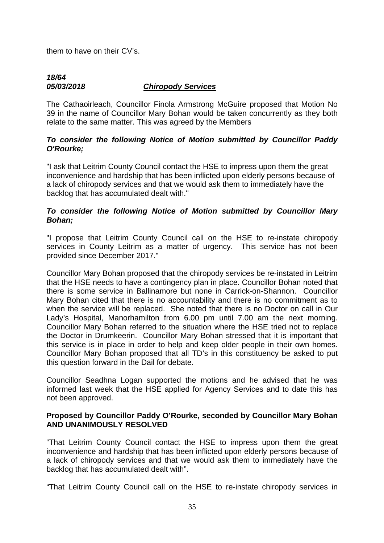them to have on their CV's.

# *18/64 05/03/2018 Chiropody Services*

The Cathaoirleach, Councillor Finola Armstrong McGuire proposed that Motion No 39 in the name of Councillor Mary Bohan would be taken concurrently as they both relate to the same matter. This was agreed by the Members

# *To consider the following Notice of Motion submitted by Councillor Paddy O'Rourke;*

"I ask that Leitrim County Council contact the HSE to impress upon them the great inconvenience and hardship that has been inflicted upon elderly persons because of a lack of chiropody services and that we would ask them to immediately have the backlog that has accumulated dealt with."

# *To consider the following Notice of Motion submitted by Councillor Mary Bohan;*

"I propose that Leitrim County Council call on the HSE to re-instate chiropody services in County Leitrim as a matter of urgency. This service has not been provided since December 2017."

Councillor Mary Bohan proposed that the chiropody services be re-instated in Leitrim that the HSE needs to have a contingency plan in place. Councillor Bohan noted that there is some service in Ballinamore but none in Carrick-on-Shannon. Councillor Mary Bohan cited that there is no accountability and there is no commitment as to when the service will be replaced. She noted that there is no Doctor on call in Our Lady's Hospital, Manorhamilton from 6.00 pm until 7.00 am the next morning. Councillor Mary Bohan referred to the situation where the HSE tried not to replace the Doctor in Drumkeerin. Councillor Mary Bohan stressed that it is important that this service is in place in order to help and keep older people in their own homes. Councillor Mary Bohan proposed that all TD's in this constituency be asked to put this question forward in the Dail for debate.

Councillor Seadhna Logan supported the motions and he advised that he was informed last week that the HSE applied for Agency Services and to date this has not been approved.

# **Proposed by Councillor Paddy O'Rourke, seconded by Councillor Mary Bohan AND UNANIMOUSLY RESOLVED**

"That Leitrim County Council contact the HSE to impress upon them the great inconvenience and hardship that has been inflicted upon elderly persons because of a lack of chiropody services and that we would ask them to immediately have the backlog that has accumulated dealt with".

"That Leitrim County Council call on the HSE to re-instate chiropody services in